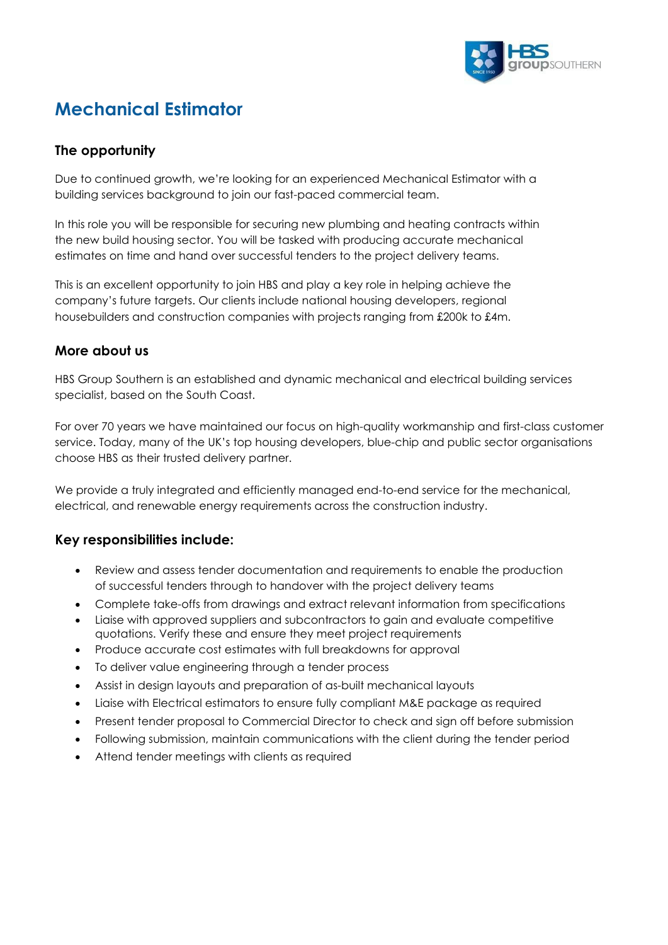

# **Mechanical Estimator**

## **The opportunity**

Due to continued growth, we're looking for an experienced Mechanical Estimator with a building services background to join our fast-paced commercial team.

In this role you will be responsible for securing new plumbing and heating contracts within the new build housing sector. You will be tasked with producing accurate mechanical estimates on time and hand over successful tenders to the project delivery teams.

This is an excellent opportunity to join HBS and play a key role in helping achieve the company's future targets. Our clients include national housing developers, regional housebuilders and construction companies with projects ranging from £200k to £4m.

#### **More about us**

HBS Group Southern is an established and dynamic mechanical and electrical building services specialist, based on the South Coast.

For over 70 years we have maintained our focus on high-quality workmanship and first-class customer service. Today, many of the UK's top housing developers, blue-chip and public sector organisations choose HBS as their trusted delivery partner.

We provide a truly integrated and efficiently managed end-to-end service for the mechanical, electrical, and renewable energy requirements across the construction industry.

#### **Key responsibilities include:**

- Review and assess tender documentation and requirements to enable the production of successful tenders through to handover with the project delivery teams
- Complete take-offs from drawings and extract relevant information from specifications
- Liaise with approved suppliers and subcontractors to gain and evaluate competitive quotations. Verify these and ensure they meet project requirements
- Produce accurate cost estimates with full breakdowns for approval
- To deliver value engineering through a tender process
- Assist in design layouts and preparation of as-built mechanical layouts
- Liaise with Electrical estimators to ensure fully compliant M&E package as required
- Present tender proposal to Commercial Director to check and sign off before submission
- Following submission, maintain communications with the client during the tender period
- Attend tender meetings with clients as required